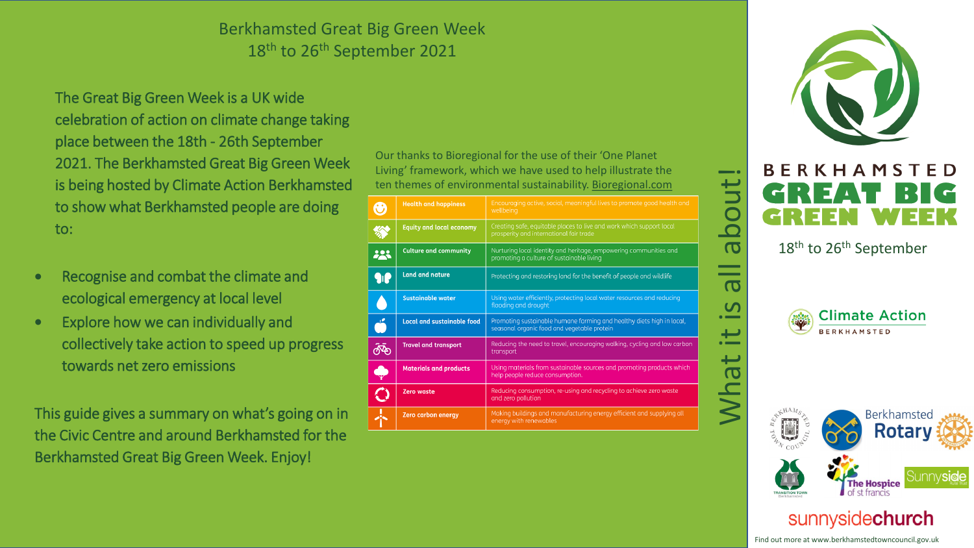## Berkhamsted Great Big Green Week 18th to 26th September 2021

The Great Big Green Week is a UK wide celebration of action on climate change taking place between the 18th - 26th September 2021. The Berkhamsted Great Big Green Week is being hosted by Climate Action Berkhamsted to show what Berkhamsted people are doing to:

- Recognise and combat the climate and ecological emergency at local level
- Explore how we can individually and collectively take action to speed up progress towards net zero emissions

This guide gives a summary on what's going on in the Civic Centre and around Berkhamsted for the Berkhamsted Great Big Green Week. Enjoy!

Our thanks to Bioregional for the use of their 'One Planet Living' framework, which we have used to help illustrate the ten themes of environmental sustainability. Bioregional.com

| $\mathbf{\widehat{v}}$ | <b>Health and happiness</b>       | Encouraging active, social, meaningful lives to promote good health and<br>wellbeing                                 |
|------------------------|-----------------------------------|----------------------------------------------------------------------------------------------------------------------|
|                        | <b>Equity and local economy</b>   | Creating safe, equitable places to live and work which support local<br>prosperity and international fair trade      |
| 223                    | <b>Culture and community</b>      | Nurturing local identity and heritage, empowering communities and<br>promoting a culture of sustainable living       |
|                        | <b>Land and nature</b>            | Protecting and restoring land for the benefit of people and wildlife                                                 |
|                        | <b>Sustainable water</b>          | Using water efficiently, protecting local water resources and reducing<br>flooding and drought                       |
| $\mathbf{L}$           | <b>Local and sustainable food</b> | Promoting sustainable humane farming and healthy diets high in local,<br>seasonal organic food and vegetable protein |
|                        | <b>Travel and transport</b>       | Reducing the need to travel, encouraging walking, cycling and low carbon<br>transport                                |
|                        | <b>Materials and products</b>     | Using materials from sustainable sources and promoting products which<br>help people reduce consumption.             |
|                        | <b>Zero waste</b>                 | Reducing consumption, re-using and recycling to achieve zero waste<br>and zero pollution                             |
|                        | <b>Zero</b> carbon energy         | Making buildings and manufacturing energy efficient and supplying all<br>energy with renewables                      |





18<sup>th</sup> to 26<sup>th</sup> September



What it is all about!

 $\Omega$ 

 $\overline{\phantom{0}}$ 

 $\overline{\phantom{m}}$ 

bout

 $\overline{\sigma}$ 

- $\overline{\mathbf{o}}$ 



sunnysidechurch Find out more at www.berkhamstedtowncouncil.gov.uk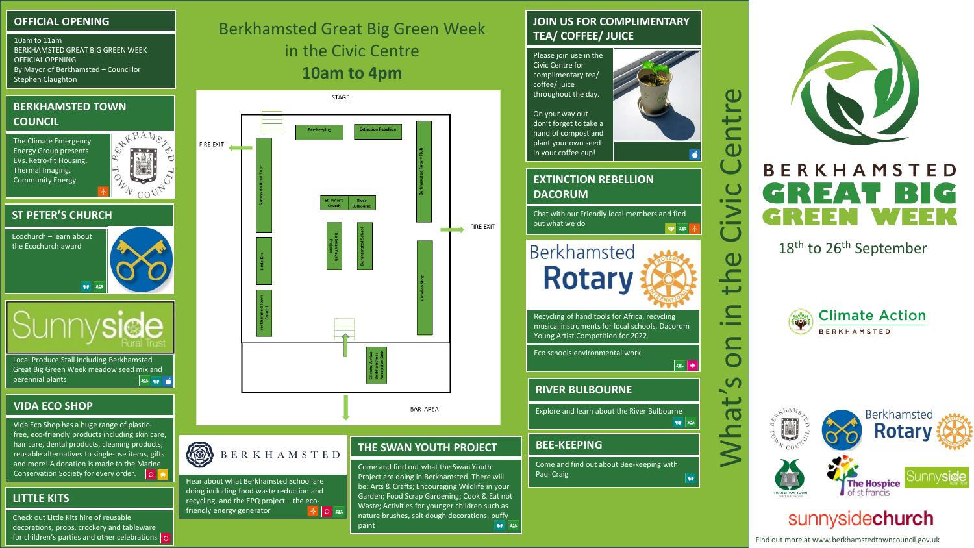#### **OFFICIAL OPENING**

10am to 11am BERKHAMSTED GREAT BIG GREEN WEEK OFFICIAL OPENING By Mayor of Berkhamsted – Councillor Stephen Claughton

#### **BERKHAMSTED TOWN COUNCIL**

Energy Group presents EVs. Retro-fit Housing, Thermal Imaging,



**ST PETER'S CHURCH**



**SUNNYSIDE RURAL TRUST**

Local Produce Stall including Berkhamsted Great Big Green Week meadow seed mix and perennial plants **225 90 C** 

#### **VIDA ECO SHOP**

Vida Eco Shop has a huge range of plasticfree, eco-friendly products including skin care, hair care, dental products, cleaning products, reusable alternatives to single-use items, gifts and more! A donation is made to the Marine<br>Conservation Society for every order. Conservation Society for every order.

### **LITTLE KITS**

Check out Little Kits hire of reusable decorations, props, crockery and tableware for children's parties and other celebrations  $\overline{\bigcirc}$  Berkhamsted Great Big Green Week in the Civic Centre **10am to 4pm**



paint

#### **JOIN US FOR COMPLIMENTARY TEA/ COFFEE/ JUICE**

Please join use in the Civic Centre for complimentary tea/ coffee/ juice throughout the day.

On your way out don't forget to take a hand of compost and plant your own seed in your coffee cup!

# **DACORUM**

Chat with our Friendly local members and find out what we do  $\frac{1}{2}$ 

**Berkhamsted Rotary** 

Recycling of hand tools for Africa, recycling musical instruments for local schools, Dacorum Young Artist Competition for 2022.

Eco schools environmental work

#### **RIVER BULBOURNE**

Explore and learn about the River Bulbourne 90 225

#### **BEE-KEEPING**

ne l

Come and find out about Bee-keeping with Paul Craig



18<sup>th</sup> to 26<sup>th</sup> September

C

ر ہے

 $\left| \frac{1}{2} \right|$   $\left| \frac{1}{2} \right|$ 



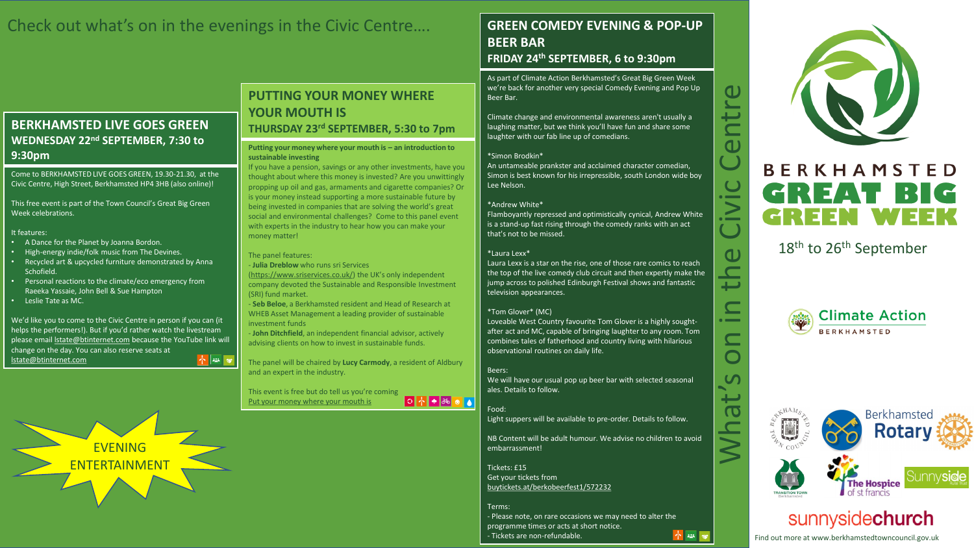## Check out what's on in the evenings in the Civic Centre….

#### **BERKHAMSTED LIVE GOES GREEN WEDNESDAY 22nd SEPTEMBER, 7:30 to 9:30pm**

Come to BERKHAMSTED LIVE GOES GREEN, 19.30-21.30, at the Civic Centre, High Street, Berkhamsted HP4 3HB (also online)!

This free event is part of the Town Council's Great Big Green Week celebrations.

#### It features:

- A Dance for the Planet by Joanna Bordon.
- High-energy indie/folk music from The Devines.
- Recycled art & upcycled furniture demonstrated by Anna Schofield.
- Personal reactions to the climate/eco emergency from Raeeka Yassaie, John Bell & Sue Hampton
- Leslie Tate as MC.

We'd like you to come to the Civic Centre in person if you can (it helps the performers!). But if you'd rather watch the livestream please email **Istate@btinternet.com** because the YouTube link will change on the day. You can also reserve seats at  $+ 128$ [lstate@btinternet.com](mailto:lstate@btinternet.com)

> **EVENING** ENTERTAINMENT

#### **PUTTING YOUR MONEY WHERE YOUR MOUTH IS THURSDAY 23rd SEPTEMBER, 5:30 to 7pm**

#### **Putting your money where your mouth is – an introduction to sustainable investing**

If you have a pension, savings or any other investments, have you thought about where this money is invested? Are you unwittingly propping up oil and gas, armaments and cigarette companies? Or is your money instead supporting a more sustainable future by being invested in companies that are solving the world's great social and environmental challenges? Come to this panel event with experts in the industry to hear how you can make your money matter!

#### The panel features:

- **Julia Dreblow** who runs sri Services

[\(https://www.sriservices.co.uk/](https://www.sriservices.co.uk/)) the UK's only independent company devoted the Sustainable and Responsible Investment (SRI) fund market.

- **Seb Beloe**, a Berkhamsted resident and Head of Research at WHEB Asset Management a leading provider of sustainable investment funds

- **John Ditchfield**, an independent financial advisor, actively advising clients on how to invest in sustainable funds.

The panel will be chaired by **Lucy Carmody**, a resident of Aldbury and an expert in the industry.

This event is free but do tell us you're coming O ↑ ● ॐ ● ● [Put your money where your mouth is](mailto:https://www.eventbrite.com/e/put-your-money-where-your-mouth-is-tickets-169499498563?fbclid=IwAR0dcM-X2Qd_IhsY5zNLW-hDUCc7m_oZI68I0MZA8HoaQJgkiNpDMWzc6Hs)

### **GREEN COMEDY EVENING & POP-UP BEER BAR**

#### **FRIDAY 24th SEPTEMBER, 6 to 9:30pm**

As part of Climate Action Berkhamsted's Great Big Green Week we're back for another very special Comedy Evening and Pop Up Beer Bar.

Climate change and environmental awareness aren't usually a laughing matter, but we think you'll have fun and share some laughter with our fab line up of comedians.

#### \*Simon Brodkin\*

An untameable prankster and acclaimed character comedian, Simon is best known for his irrepressible, south London wide boy Lee Nelson.

#### \*Andrew White\*

Flamboyantly repressed and optimistically cynical, Andrew White is a stand-up fast rising through the comedy ranks with an act that's not to be missed.

#### \*Laura Lexx\*

Laura Lexx is a star on the rise, one of those rare comics to reach the top of the live comedy club circuit and then expertly make the jump across to polished Edinburgh Festival shows and fantastic television appearances.

#### \*Tom Glover\* (MC)

Loveable West Country favourite Tom Glover is a highly soughtafter act and MC, capable of bringing laughter to any room. Tom combines tales of fatherhood and country living with hilarious observational routines on daily life.

#### Beers:

We will have our usual pop up beer bar with selected seasonal ales. Details to follow.

Food: Light suppers will be available to pre-order. Details to follow.

NB Content will be adult humour. We advise no children to avoid embarrassment!

Tickets: £15 Get your tickets from [buytickets.at/berkobeerfest1/572232](mailto:https://www.tickettailor.com/events/berkobeerfest1/572232)

Terms: - Please note, on rare occasions we may need to alter the programme times or acts at short notice. ↑ 28 - Tickets are non-refundable.



 $\mathbf 0$ 

ىب

 $\mathbf{d}$ - 1

 $\ge$ 

 $\overline{\mathcal{C}}$ 

 $\mathbf 0$ 

 $\overline{\phantom{0}}$ 

 $\overline{\phantom{a}}$ 

 $\Box$ 

 $\overline{C}$  $\overline{\phantom{0}}$ 

 $\overline{\textbf{C}}$ 

### 18<sup>th</sup> to 26<sup>th</sup> September





## sunnysidechurch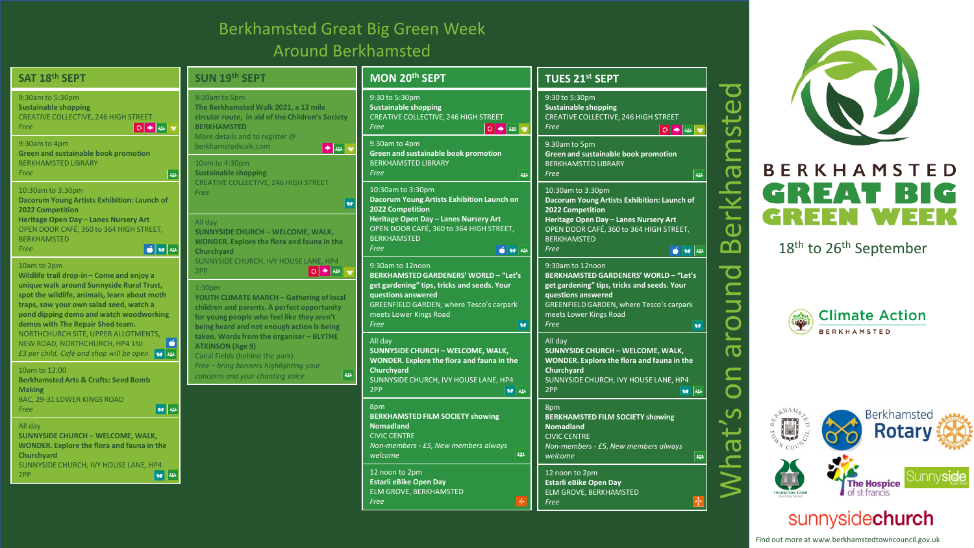## Berkhamsted Great Big Green Week Around Berkhamsted

**SAT 18th SEPT**

*Free*

BE *Free*

 $\frac{10}{M}$ 

 $10$ 

**Be**<br>**M**<br>**BA** 

 $Fr$ 

| SAT 18 <sup>th</sup> SEPT                                                                                                                                                                                                                                                                              | SUN 19th SEPT                                                                                                                                                                                                                                                                                                                                                                                                                                                                | MON 20 <sup>th</sup> SEPT                                                                                                                                                                                                                                    | <b>TUES 21st SEPT</b>                                                                                                                                                                                                                                      |
|--------------------------------------------------------------------------------------------------------------------------------------------------------------------------------------------------------------------------------------------------------------------------------------------------------|------------------------------------------------------------------------------------------------------------------------------------------------------------------------------------------------------------------------------------------------------------------------------------------------------------------------------------------------------------------------------------------------------------------------------------------------------------------------------|--------------------------------------------------------------------------------------------------------------------------------------------------------------------------------------------------------------------------------------------------------------|------------------------------------------------------------------------------------------------------------------------------------------------------------------------------------------------------------------------------------------------------------|
| 9:30am to 5:30pm<br><b>Sustainable shopping</b><br>CREATIVE COLLECTIVE, 246 HIGH STREET<br>$\left \circ\right $ $\leftrightarrow$ $\left \circ\right $<br>Free                                                                                                                                         | 9:30am to 5pm<br>The Berkhamsted Walk 2021, a 12 mile<br>circular route, in aid of the Children's Society<br><b>BERKHAMSTED</b>                                                                                                                                                                                                                                                                                                                                              | 9:30 to 5:30pm<br><b>Sustainable shopping</b><br><b>CREATIVE COLLECTIVE, 246 HIGH STREET</b><br>Free                                                                                                                                                         | 9:30 to 5:30pm<br><b>Sustainable shopping</b><br><b>CREATIVE COLLECTIVE, 246 HIGH STREET</b><br>Free<br>$\bigcirc$ $\bigcirc$ $\bigcirc$ $\bigcirc$                                                                                                        |
| 9:30am to 4pm<br><b>Green and sustainable book promotion</b><br><b>BERKHAMSTED LIBRARY</b><br>$\left  \frac{1}{2} \right $<br>Free                                                                                                                                                                     | More details and to register @<br>berkhamstedwalk.com<br>$\bullet$ 25 $\circ$<br>10am to 4:30pm<br><b>Sustainable shopping</b>                                                                                                                                                                                                                                                                                                                                               | 9.30am to 4pm<br>Green and sustainable book promotion<br><b>BERKHAMSTED LIBRARY</b><br>Free<br>الخفاة                                                                                                                                                        | 9.30am to 5pm<br><b>Green and sustainable book promotion</b><br><b>BERKHAMSTED LIBRARY</b><br>Free<br>$\left  \cdot \right\rangle$                                                                                                                         |
| 10:30am to 3:30pm<br>Dacorum Young Artists Exhibition: Launch of<br>2022 Competition<br>Heritage Open Day - Lanes Nursery Art<br>OPEN DOOR CAFÉ, 360 to 364 HIGH STREET,<br><b>BERKHAMSTED</b>                                                                                                         | <b>CREATIVE COLLECTIVE, 246 HIGH STREET</b><br>Free<br>$\mathbf{v}$<br>All day<br><b>SUNNYSIDE CHURCH - WELCOME, WALK,</b><br><b>WONDER.</b> Explore the flora and fauna in the<br>Churchyard<br>SUNNYSIDE CHURCH, IVY HOUSE LANE, HP4<br>0 + 2 +<br>2PP<br>1:30 <sub>pm</sub><br><b>YOUTH CLIMATE MARCH - Gathering of local</b><br>children and parents. A perfect opportunity<br>for young people who feel like they aren't<br>being heard and not enough action is being | 10:30am to 3:30pm<br>Dacorum Young Artists Exhibition Launch on<br>2022 Competition<br>Heritage Open Day - Lanes Nursery Art<br>OPEN DOOR CAFÉ, 360 to 364 HIGH STREET,<br><b>BERKHAMSTED</b>                                                                | 10:30am to 3:30pm<br>Dacorum Young Artists Exhibition: Launch of<br>2022 Competition<br>Heritage Open Day - Lanes Nursery Art<br>OPEN DOOR CAFÉ, 360 to 364 HIGH STREET,<br><b>BERKHAMSTED</b>                                                             |
| $6$ 10 $23$<br>Free<br>10am to 2pm<br>Wildlife trail drop-in - Come and enjoy a<br>unique walk around Sunnyside Rural Trust,<br>spot the wildlife, animals, learn about moth<br>traps, sow your own salad seed, watch a<br>pond dipping demo and watch woodworking<br>demos with The Repair Shed team. |                                                                                                                                                                                                                                                                                                                                                                                                                                                                              | Free<br>$6 - 10$<br>9:30am to 12noon<br><b>BERKHAMSTED GARDENERS' WORLD - "Let's</b><br>get gardening" tips, tricks and seeds. Your<br>questions answered<br><b>GREENFIELD GARDEN, where Tesco's carpark</b><br>meets Lower Kings Road<br>Free<br>$90^\circ$ | Free<br>0 9 22<br>9:30am to 12noon<br><b>BERKHAMSTED GARDENERS' WORLD - "Let's</b><br>get gardening" tips, tricks and seeds. Your<br>questions answered<br><b>GREENFIELD GARDEN, where Tesco's carpark</b><br>meets Lower Kings Road<br>Free<br><b>SiP</b> |
| NORTHCHURCH SITE, UPPER ALLOTMENTS,<br>ő<br>NEW ROAD, NORTHCHURCH, HP4 1NJ<br>E3 per child. Café and shop will be open <b>10 23</b><br>10am to 12:00<br><b>Berkhamsted Arts &amp; Crafts: Seed Bomb</b><br><b>Making</b>                                                                               | taken. Words from the organiser - BLYTHE<br><b>ATKINSON (Age 9)</b><br>Canal Fields (behind the park)<br>Free - bring banners highlighting your<br>425<br>concerns and your chanting voice                                                                                                                                                                                                                                                                                   | All day<br><b>SUNNYSIDE CHURCH - WELCOME, WALK,</b><br>WONDER. Explore the flora and fauna in the<br>Churchyard<br>SUNNYSIDE CHURCH, IVY HOUSE LANE, HP4<br>2PP<br>90 225                                                                                    | All day<br><b>SUNNYSIDE CHURCH - WELCOME, WALK,</b><br>WONDER. Explore the flora and fauna in the<br>Churchyard<br>SUNNYSIDE CHURCH, IVY HOUSE LANE, HP4<br>2PP<br>98 28                                                                                   |
| BAC, 29-31 LOWER KINGS ROAD<br>38 225<br>Free<br>All day<br>SUNNYSIDE CHURCH - WELCOME, WALK,<br><b>WONDER.</b> Explore the flora and fauna in the<br>Churchyard                                                                                                                                       |                                                                                                                                                                                                                                                                                                                                                                                                                                                                              | 8pm<br><b>BERKHAMSTED FILM SOCIETY showing</b><br><b>Nomadland</b><br><b>CIVIC CENTRE</b><br>Non-members - £5, New members always<br>423<br>welcome                                                                                                          | 8pm<br><b>BERKHAMSTED FILM SOCIETY showing</b><br><b>Nomadland</b><br><b>CIVIC CENTRE</b><br>Non-members - £5, New members always<br>welcome<br>225                                                                                                        |
| SUNNYSIDE CHURCH, IVY HOUSE LANE, HP4<br>$\sqrt{1 + \frac{1}{2}}$<br>2PP                                                                                                                                                                                                                               |                                                                                                                                                                                                                                                                                                                                                                                                                                                                              | 12 noon to 2pm<br><b>Estarli eBike Open Day</b><br>ELM GROVE, BERKHAMSTED<br>Free<br> 本                                                                                                                                                                      | 12 noon to 2pm<br><b>Estarli eBike Open Day</b><br>ELM GROVE, BERKHAMSTED<br>木<br>Free                                                                                                                                                                     |





around

SO

iat'



## sunnysidechurch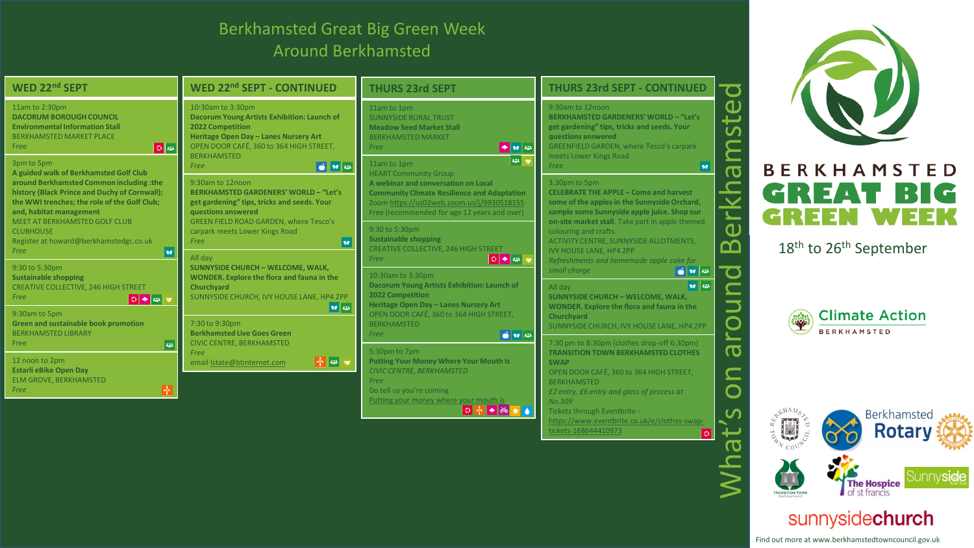## Berkhamsted Great Big Green Week Around Berkhamsted

| WED 22nd SEPT                                                                                                                                                                                                                                                                     | <b>WED 22nd SEPT - CONTINUED</b>                                                                                                                                                                                                                  | <b>THURS 23rd SEPT</b>                                                                                                                                                                                                                                            | <b>THURS 23rd SEPT - CONTINUED</b>                                                                                                                                                                                                                                                         | $\overline{\mathbf{C}}$                                                                                     |  |
|-----------------------------------------------------------------------------------------------------------------------------------------------------------------------------------------------------------------------------------------------------------------------------------|---------------------------------------------------------------------------------------------------------------------------------------------------------------------------------------------------------------------------------------------------|-------------------------------------------------------------------------------------------------------------------------------------------------------------------------------------------------------------------------------------------------------------------|--------------------------------------------------------------------------------------------------------------------------------------------------------------------------------------------------------------------------------------------------------------------------------------------|-------------------------------------------------------------------------------------------------------------|--|
| 11am to 2:30pm<br><b>DACORUM BOROUGH COUNCIL</b><br><b>Environmental Information Stall</b><br>BERKHAMSTED MARKET PLACE<br>Free<br>02                                                                                                                                              | 10:30am to 3:30pm<br>Dacorum Young Artists Exhibition: Launch of<br>2022 Competition<br>Heritage Open Day - Lanes Nursery Art<br>OPEN DOOR CAFÉ, 360 to 364 HIGH STREET,<br><b>BERKHAMSTED</b>                                                    | 11am to 1pm<br><b>SUNNYSIDE RURAL TRUST</b><br><b>Meadow Seed Market Stall</b><br><b>BERKHAMSTED MARKET</b><br>$\bullet$ or $\approx$<br>Free                                                                                                                     | 9:30am to 12noon<br><b>BERKHAMSTED GARDENERS' WORLD - "Let's</b><br>get gardening" tips, tricks and seeds. Your<br>questions answered<br><b>GREENFIELD GARDEN, where Tesco's carpark</b><br>meets Lower Kings Road                                                                         | ட                                                                                                           |  |
| 3pm to 5pm<br>A guided walk of Berkhamsted Golf Club<br>around Berkhamsted Common including :the<br>history (Black Prince and Duchy of Cornwall);<br>the WWI trenches; the role of the Golf Club;<br>and, habitat management<br>MEET AT BERKHAMSTED GOLF CLUB<br><b>CLUBHOUSE</b> | $6$ $10$ $12$<br>Free<br>9:30am to 12noon<br><b>BERKHAMSTED GARDENERS' WORLD - "Let's</b><br>get gardening" tips, tricks and seeds. Your<br>questions answered<br><b>GREEN FIELD ROAD GARDEN, where Tesco's</b><br>carpark meets Lower Kings Road | 223 50<br>11am to 1pm<br><b>HEART Community Group</b><br>A webinar and conversation on Local<br><b>Community Climate Resilience and Adaptation</b><br>Zoom https://us02web.zoom.us/j/9930518155<br>Free (recommended for age 12 years and over)<br>9:30 to 5:30pm | Free<br><b>SP</b><br>3.30pm to 5pm<br><b>CELEBRATE THE APPLE - Come and harvest</b><br>some of the apples in the Sunnyside Orchard,<br>sample some Sunnyside apple juice. Shop our<br>on-site market stall. Take part in apple themed<br>colouring and crafts.                             | <b>BERKHAMSTED</b><br>$\overline{\mathbf{o}}$<br>GREAT BIG<br>GREEN<br>$\blacktriangleright$<br>$\mathbf 0$ |  |
| Register at howard@berkhamstedgc.co.uk<br>Free<br><b>Se</b><br>9:30 to 5:30pm<br><b>Sustainable shopping</b>                                                                                                                                                                      | ve <br>Free<br>All day<br><b>SUNNYSIDE CHURCH - WELCOME, WALK,</b><br>WONDER. Explore the flora and fauna in the                                                                                                                                  | <b>Sustainable shopping</b><br>CREATIVE COLLECTIVE, 246 HIGH STREET<br>∥○│◆∥╩│\$<br>Free<br>10:30am to 3:30pm                                                                                                                                                     | <b>ACTIVITY CENTRE, SUNNYSIDE ALLOTMENTS,</b><br><b>IVY HOUSE LANE, HP4 2PP</b><br>Refreshments and homemade apple cake for<br>small charge<br>$\frac{1}{2}$ $\frac{1}{2}$ $\frac{1}{2}$ $\frac{1}{2}$ $\frac{1}{2}$ $\frac{1}{2}$ $\frac{1}{2}$ $\frac{1}{2}$ $\frac{1}{2}$ $\frac{1}{2}$ | മ്മ<br>18 <sup>th</sup> to 26 <sup>th</sup> September                                                       |  |
| <b>CREATIVE COLLECTIVE, 246 HIGH STREET</b><br>Free<br>9:30am to 5pm<br><b>Green and sustainable book promotion</b><br><b>BERKHAMSTED LIBRARY</b>                                                                                                                                 | Churchyard<br>SUNNYSIDE CHURCH, IVY HOUSE LANE, HP4 2PP<br>$  \mathbf{v}  $ 224<br>7:30 to 9:30pm<br><b>Berkhamsted Live Goes Green</b>                                                                                                           | Dacorum Young Artists Exhibition: Launch of<br>2022 Competition<br>Heritage Open Day - Lanes Nursery Art<br>OPEN DOOR CAFÉ, 360 to 364 HIGH STREET,<br><b>BERKHAMSTED</b><br>0 10 225<br>Free                                                                     | 90 225<br>All dav<br><b>SUNNYSIDE CHURCH - WELCOME, WALK,</b><br>WONDER. Explore the flora and fauna in the<br>Churchyard<br>SUNNYSIDE CHURCH, IVY HOUSE LANE, HP4 2PP                                                                                                                     | $\overline{\phantom{a}}$<br><b>Climate Action</b><br>$\mathbf O$<br><b>BERKHAMSTED</b>                      |  |
| $\left  \cdot \right $<br>Free<br>12 noon to 2pm<br><b>Estarli eBike Open Day</b><br>ELM GROVE, BERKHAMSTED<br>Free                                                                                                                                                               | <b>CIVIC CENTRE, BERKHAMSTED</b><br>Free<br>$\left \mathbf{A}\right \mathbf{w}$ $\left \mathbf{v}\right $<br>email  state@btinternet.com                                                                                                          | 5:30pm to 7pm<br><b>Putting Your Money Where Your Mouth Is</b><br>CIVIC CENTRE, BERKHAMSTED<br>Free<br>Do tell us you're coming                                                                                                                                   | 7:30 pm to 8:30pm (clothes drop-off 6:30pm)<br><b>TRANSITION TOWN BERKHAMSTED CLOTHES</b><br><b>SWAP</b><br>OPEN DOOR CAFÉ, 360 to 364 HIGH STREET,<br><b>BERKHAMSTED</b><br>£2 entry, £6 entry and glass of process at                                                                    | $\overline{\mathbf{C}}$<br>$\bigcirc$                                                                       |  |
|                                                                                                                                                                                                                                                                                   |                                                                                                                                                                                                                                                   | Putting your money where your mouth is<br>O ↑ ◆ ∞ ● ▲                                                                                                                                                                                                             | No.309<br>Tickets through Eventbrite -<br>https://www.eventbrite.co.uk/e/clothes-swap-<br>tickets-168644410973<br>$ \circ $                                                                                                                                                                | <u> ဟ</u><br>Berkhamsted<br>$\frac{1}{2}$<br><b>Rotary</b>                                                  |  |
|                                                                                                                                                                                                                                                                                   |                                                                                                                                                                                                                                                   |                                                                                                                                                                                                                                                                   |                                                                                                                                                                                                                                                                                            | <b>The Hospice</b><br>of st francis<br><b>TRANSITION TOWE</b>                                               |  |



## sunnysidechurch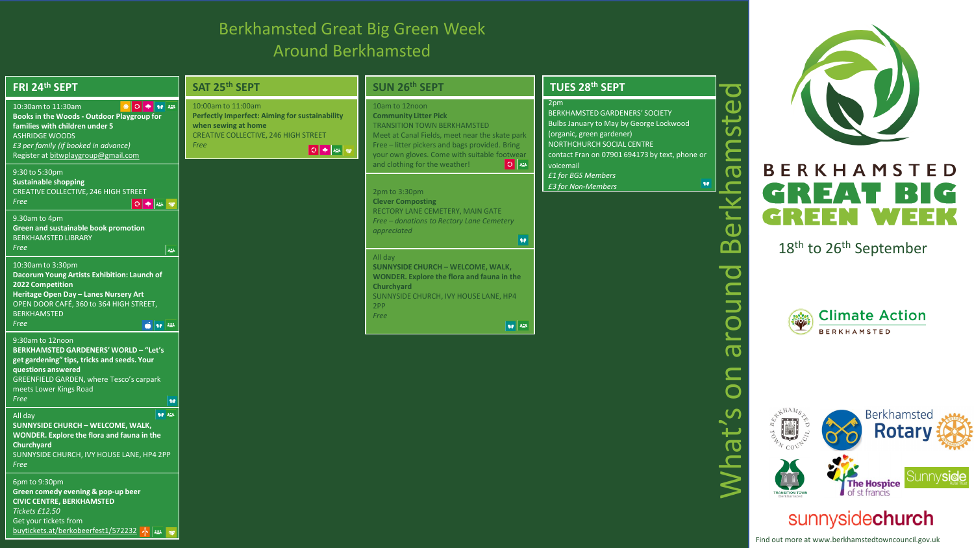## Berkhamsted Great Big Green Week Around Berkhamsted

| FRI 24th SEPT                                                                                                                                                                                                                    | SAT 25th SEPT                                                                                                                                                                                                                         | SUN 26th SEPT                                                                                                                                                                                                                     | TUES 28th SEPT                                                                                                                                                                                      |                                                  |                                                                       |
|----------------------------------------------------------------------------------------------------------------------------------------------------------------------------------------------------------------------------------|---------------------------------------------------------------------------------------------------------------------------------------------------------------------------------------------------------------------------------------|-----------------------------------------------------------------------------------------------------------------------------------------------------------------------------------------------------------------------------------|-----------------------------------------------------------------------------------------------------------------------------------------------------------------------------------------------------|--------------------------------------------------|-----------------------------------------------------------------------|
| 10:30am to 11:30am<br><b>Books in the Woods - Outdoor Playgroup for</b><br>families with children under 5<br><b>ASHRIDGE WOODS</b><br>£3 per family (if booked in advance)<br>Register at bitwplaygroup@gmail.com                | 10:00am to 11:00am<br>Perfectly Imperfect: Aiming for sustainability<br>when sewing at home<br>CREATIVE COLLECTIVE, 246 HIGH STREET<br>Free<br>$\begin{array}{ c c c c c }\hline \circ & \bullet & \text{if } \mathbf{w} \end{array}$ | 10am to 12noon<br><b>Community Litter Pick</b><br>TRANSITION TOWN BERKHAMSTED<br>Meet at Canal Fields, meet near the skate park<br>Free - litter pickers and bags provided. Bring<br>your own gloves. Come with suitable footwear | 2pm<br><b>BERKHAMSTED GARDENERS' SOCIETY</b><br>Bulbs January to May by George Lockwood<br>(organic, green gardener)<br>NORTHCHURCH SOCIAL CENTRE<br>contact Fran on 07901 694173 by text, phone or |                                                  |                                                                       |
| 9:30 to 5:30pm<br><b>Sustainable shopping</b><br><b>CREATIVE COLLECTIVE, 246 HIGH STREET</b><br>Free                                                                                                                             |                                                                                                                                                                                                                                       | 0 <br>and clothing for the weather!<br>2pm to 3:30pm<br><b>Clever Composting</b>                                                                                                                                                  | voicemail<br>£1 for BGS Members<br>$90^\circ$<br>£3 for Non-Members                                                                                                                                 | $\boldsymbol{\sigma}$                            | <b>BERKHAMSTED</b><br>B<br>REAL<br>$\mathbf{\mathbf{H}}$              |
| 9.30am to 4pm<br>Green and sustainable book promotion<br><b>BERKHAMSTED LIBRARY</b><br>Free<br>$22\%$                                                                                                                            |                                                                                                                                                                                                                                       | RECTORY LANE CEMETERY, MAIN GATE<br>Free - donations to Rectory Lane Cemetery<br>appreciated<br>90<br>All day                                                                                                                     |                                                                                                                                                                                                     | $\overline{\mathbf{u}}$<br>മ                     | 33 E E<br>18 <sup>th</sup> to 26 <sup>th</sup> September              |
| 10:30am to 3:30pm<br>Dacorum Young Artists Exhibition: Launch of<br>2022 Competition<br>Heritage Open Day - Lanes Nursery Art<br>OPEN DOOR CAFÉ, 360 to 364 HIGH STREET,<br><b>BERKHAMSTED</b><br>Free<br>$6 - 10$               |                                                                                                                                                                                                                                       | <b>SUNNYSIDE CHURCH - WELCOME, WALK.</b><br>WONDER. Explore the flora and fauna in the<br>Churchyard<br>SUNNYSIDE CHURCH, IVY HOUSE LANE, HP4<br>2PP<br>Free<br>$\left\vert \mathbf{se} \right\vert$ and                          |                                                                                                                                                                                                     | $\mathbf O$                                      | <b>Climate Action</b><br><b>BERKHAMSTED</b>                           |
| 9:30am to 12noon<br><b>BERKHAMSTED GARDENERS' WORLD - "Let's</b><br>get gardening" tips, tricks and seeds. Your<br>questions answered<br><b>GREENFIELD GARDEN, where Tesco's carpark</b><br>meets Lower Kings Road<br>Free<br>90 |                                                                                                                                                                                                                                       |                                                                                                                                                                                                                                   |                                                                                                                                                                                                     | $\boldsymbol{\sigma}$<br>$\overline{\mathsf{O}}$ |                                                                       |
| 90 225<br>All day<br><b>SUNNYSIDE CHURCH - WELCOME, WALK,</b><br>WONDER. Explore the flora and fauna in the<br>Churchyard<br>SUNNYSIDE CHURCH, IVY HOUSE LANE, HP4 2PP                                                           |                                                                                                                                                                                                                                       |                                                                                                                                                                                                                                   |                                                                                                                                                                                                     | at                                               | Berkhamsted<br>U<br><b>Rotary</b>                                     |
| Free<br>$6$ pm to 9:30pm<br>Green comedy evening & pop-up beer<br><b>CIVIC CENTRE, BERKHAMSTED</b>                                                                                                                               |                                                                                                                                                                                                                                       |                                                                                                                                                                                                                                   |                                                                                                                                                                                                     |                                                  | Sunny <b>sic</b><br><b>The Hospice</b><br>of st francis               |
| Tickets £12.50<br>Get your tickets from<br>buytickets.at/berkobeerfest1/572232 $\frac{1}{2}$                                                                                                                                     |                                                                                                                                                                                                                                       |                                                                                                                                                                                                                                   |                                                                                                                                                                                                     |                                                  | sunnysidechurch<br>Find out more at www.berkhamstedtowncouncil.gov.uk |

y**side**